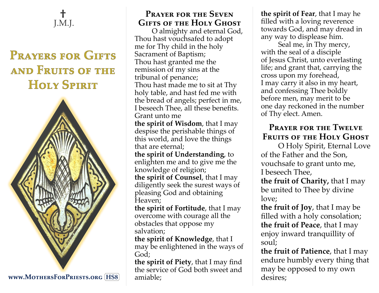## **†**  J.M.J.

# **PRAYERS FOR GIFTS** AND FRUITS OF THE HOLY SPIRIT



**www.MothersForPriests.org HS8**

### **Prayer for the Seven Gifts of the Holy Ghost**

O almighty and eternal God, Thou hast vouchsafed to adopt me for Thy child in the holy Sacrament of Baptism; Thou hast granted me the remission of my sins at the tribunal of penance; Thou hast made me to sit at Thy holy table, and hast fed me with the bread of angels; perfect in me, I beseech Thee, all these benefits. Grant unto me **the spirit of Wisdom**, that I may despise the perishable things of this world, and love the things that are eternal; **the spirit of Understanding**, to enlighten me and to give me the knowledge of religion; **the spirit of Counsel**, that I may diligently seek the surest ways of pleasing God and obtaining Heaven;

**the spirit of Fortitude**, that I may overcome with courage all the obstacles that oppose my salvation;

**the spirit of Knowledge**, that I may be enlightened in the ways of God;

**the spirit of Piety**, that I may find the service of God both sweet and amiable;

**the spirit of Fear**, that I may he filled with a loving reverence towards God, and may dread in any way to displease him.

Seal me, in Thy mercy, with the seal of a disciple of Jesus Christ, unto everlasting life; and grant that, carrying the cross upon my forehead, I may carry it also in my heart, and confessing Thee boldly before men, may merit to be one day reckoned in the number of Thy elect. Amen.

## **Prayer for the Twelve Fruits of the Holy Ghost**

O Holy Spirit, Eternal Love of the Father and the Son, vouchsafe to grant unto me, I beseech Thee,

**the fruit of Charity,** that I may be united to Thee by divine love;

**the fruit of Joy**, that I may be filled with a holy consolation; **the fruit of Peace**, that I may enjoy inward tranquillity of soul;

**the fruit of Patience**, that I may endure humbly every thing that may be opposed to my own desires;